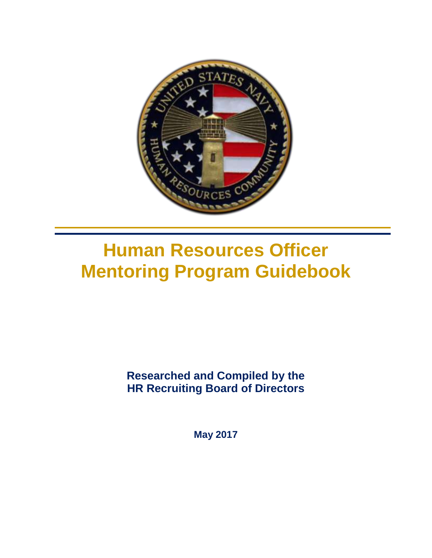

# **Human Resources Officer Mentoring Program Guidebook**

**Researched and Compiled by the HR Recruiting Board of Directors**

**May 2017**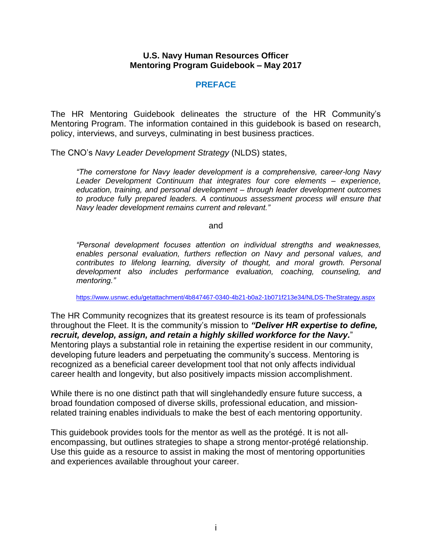#### **U.S. Navy Human Resources Officer Mentoring Program Guidebook – May 2017**

#### **PREFACE**

The HR Mentoring Guidebook delineates the structure of the HR Community's Mentoring Program. The information contained in this guidebook is based on research, policy, interviews, and surveys, culminating in best business practices.

The CNO's *Navy Leader Development Strategy* (NLDS) states,

*"The cornerstone for Navy leader development is a comprehensive, career-long Navy Leader Development Continuum that integrates four core elements – experience, education, training, and personal development – through leader development outcomes to produce fully prepared leaders. A continuous assessment process will ensure that Navy leader development remains current and relevant."*

and

*"Personal development focuses attention on individual strengths and weaknesses, enables personal evaluation, furthers reflection on Navy and personal values, and*  contributes to lifelong learning, diversity of thought, and moral growth. Personal *development also includes performance evaluation, coaching, counseling, and mentoring."*

<https://www.usnwc.edu/getattachment/4b847467-0340-4b21-b0a2-1b071f213e34/NLDS-TheStrategy.aspx>

The HR Community recognizes that its greatest resource is its team of professionals throughout the Fleet. It is the community's mission to *"Deliver HR expertise to define, recruit, develop, assign, and retain a highly skilled workforce for the Navy.*" Mentoring plays a substantial role in retaining the expertise resident in our community, developing future leaders and perpetuating the community's success. Mentoring is recognized as a beneficial career development tool that not only affects individual career health and longevity, but also positively impacts mission accomplishment.

While there is no one distinct path that will singlehandedly ensure future success, a broad foundation composed of diverse skills, professional education, and missionrelated training enables individuals to make the best of each mentoring opportunity.

This guidebook provides tools for the mentor as well as the protégé. It is not allencompassing, but outlines strategies to shape a strong mentor-protégé relationship. Use this guide as a resource to assist in making the most of mentoring opportunities and experiences available throughout your career.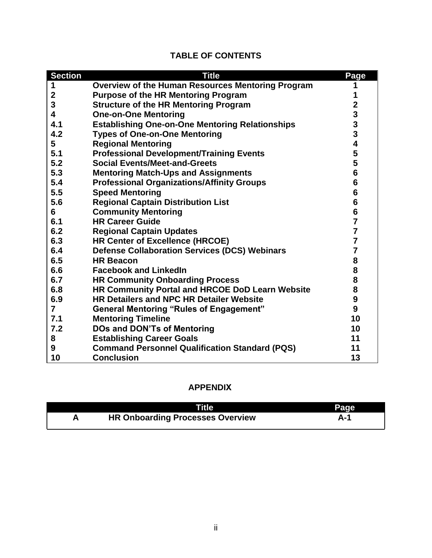| <b>TABLE OF CONTENTS</b> |  |  |
|--------------------------|--|--|
|--------------------------|--|--|

| <b>Section</b>   | <b>Title</b>                                             | Page                                       |
|------------------|----------------------------------------------------------|--------------------------------------------|
| 1                | <b>Overview of the Human Resources Mentoring Program</b> |                                            |
| $\boldsymbol{2}$ | <b>Purpose of the HR Mentoring Program</b>               |                                            |
| 3                | <b>Structure of the HR Mentoring Program</b>             | $\overline{\mathbf{2}}$                    |
| 4                | <b>One-on-One Mentoring</b>                              |                                            |
| 4.1              | <b>Establishing One-on-One Mentoring Relationships</b>   | $\begin{array}{c} 3 \\ 3 \\ 3 \end{array}$ |
| 4.2              | <b>Types of One-on-One Mentoring</b>                     |                                            |
| 5                | <b>Regional Mentoring</b>                                | $\overline{\mathbf{4}}$                    |
| 5.1              | <b>Professional Development/Training Events</b>          | 5                                          |
| 5.2              | <b>Social Events/Meet-and-Greets</b>                     | 5                                          |
| 5.3              | <b>Mentoring Match-Ups and Assignments</b>               | 6                                          |
| 5.4              | <b>Professional Organizations/Affinity Groups</b>        | 6                                          |
| 5.5              | <b>Speed Mentoring</b>                                   | $6\phantom{1}6$                            |
| 5.6              | <b>Regional Captain Distribution List</b>                | $6\phantom{1}$                             |
| 6                | <b>Community Mentoring</b>                               | $6\phantom{1}$                             |
| 6.1              | <b>HR Career Guide</b>                                   | $\overline{7}$                             |
| 6.2              | <b>Regional Captain Updates</b>                          | $\overline{7}$                             |
| 6.3              | HR Center of Excellence (HRCOE)                          | $\overline{7}$                             |
| 6.4              | <b>Defense Collaboration Services (DCS) Webinars</b>     | $\overline{7}$                             |
| 6.5              | <b>HR Beacon</b>                                         | 8                                          |
| 6.6              | <b>Facebook and LinkedIn</b>                             | 8                                          |
| 6.7              | <b>HR Community Onboarding Process</b>                   | 8                                          |
| 6.8              | HR Community Portal and HRCOE DoD Learn Website          | 8                                          |
| 6.9              | <b>HR Detailers and NPC HR Detailer Website</b>          | $\boldsymbol{9}$                           |
| $\overline{7}$   | <b>General Mentoring "Rules of Engagement"</b>           | 9                                          |
| 7.1              | <b>Mentoring Timeline</b>                                | 10                                         |
| 7.2              | <b>DOs and DON'Ts of Mentoring</b>                       | 10                                         |
| 8                | <b>Establishing Career Goals</b>                         | 11                                         |
| 9                | <b>Command Personnel Qualification Standard (PQS)</b>    | 11                                         |
| 10               | <b>Conclusion</b>                                        | 13                                         |

# **APPENDIX**

| <b>Title</b>                            | Page |
|-----------------------------------------|------|
| <b>HR Onboarding Processes Overview</b> | А-1  |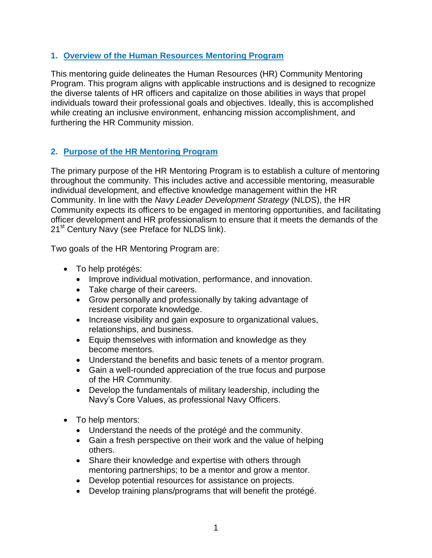## **1. Overview of the Human Resources Mentoring Program**

This mentoring guide delineates the Human Resources (HR) Community Mentoring Program. This program aligns with applicable instructions and is designed to recognize the diverse talents of HR officers and capitalize on those abilities in ways that propel individuals toward their professional goals and objectives. Ideally, this is accomplished while creating an inclusive environment, enhancing mission accomplishment, and furthering the HR Community mission.

# **2. Purpose of the HR Mentoring Program**

The primary purpose of the HR Mentoring Program is to establish a culture of mentoring throughout the community. This includes active and accessible mentoring, measurable individual development, and effective knowledge management within the HR Community. In line with the *Navy Leader Development Strategy* (NLDS), the HR Community expects its officers to be engaged in mentoring opportunities, and facilitating officer development and HR professionalism to ensure that it meets the demands of the 21<sup>st</sup> Century Navy (see Preface for NLDS link).

Two goals of the HR Mentoring Program are:

- To help protégés:
	- Improve individual motivation, performance, and innovation.
	- Take charge of their careers.
	- Grow personally and professionally by taking advantage of resident corporate knowledge.
	- Increase visibility and gain exposure to organizational values, relationships, and business.
	- Equip themselves with information and knowledge as they become mentors.
	- Understand the benefits and basic tenets of a mentor program.
	- Gain a well-rounded appreciation of the true focus and purpose of the HR Community.
	- Develop the fundamentals of military leadership, including the Navy's Core Values, as professional Navy Officers.
- To help mentors:
	- Understand the needs of the protégé and the community.
	- Gain a fresh perspective on their work and the value of helping others.
	- Share their knowledge and expertise with others through mentoring partnerships; to be a mentor and grow a mentor.
	- Develop potential resources for assistance on projects.
	- Develop training plans/programs that will benefit the protégé.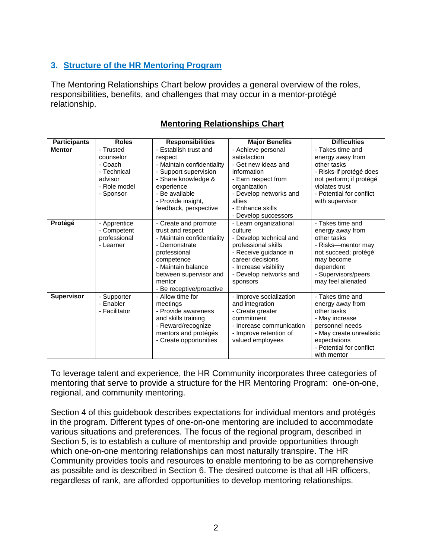# **3. Structure of the HR Mentoring Program**

The Mentoring Relationships Chart below provides a general overview of the roles, responsibilities, benefits, and challenges that may occur in a mentor-protégé relationship.

| <b>Participants</b> | <b>Roles</b>                                                                             | <b>Responsibilities</b>                                                                                                                                                                                      | <b>Major Benefits</b>                                                                                                                                                                           | <b>Difficulties</b>                                                                                                                                                             |
|---------------------|------------------------------------------------------------------------------------------|--------------------------------------------------------------------------------------------------------------------------------------------------------------------------------------------------------------|-------------------------------------------------------------------------------------------------------------------------------------------------------------------------------------------------|---------------------------------------------------------------------------------------------------------------------------------------------------------------------------------|
| <b>Mentor</b>       | - Trusted<br>counselor<br>- Coach<br>- Technical<br>advisor<br>- Role model<br>- Sponsor | - Establish trust and<br>respect<br>- Maintain confidentiality<br>- Support supervision<br>- Share knowledge &<br>experience<br>- Be available<br>- Provide insight,<br>feedback, perspective                | - Achieve personal<br>satisfaction<br>- Get new ideas and<br>information<br>- Earn respect from<br>organization<br>- Develop networks and<br>allies<br>- Enhance skills<br>- Develop successors | - Takes time and<br>energy away from<br>other tasks<br>- Risks-if protégé does<br>not perform; if protégé<br>violates trust<br>- Potential for conflict<br>with supervisor      |
| Protégé             | - Apprentice<br>- Competent<br>professional<br>- Learner                                 | - Create and promote<br>trust and respect<br>- Maintain confidentiality<br>- Demonstrate<br>professional<br>competence<br>- Maintain balance<br>between supervisor and<br>mentor<br>- Be receptive/proactive | - Learn organizational<br>culture<br>- Develop technical and<br>professional skills<br>- Receive guidance in<br>career decisions<br>- Increase visibility<br>- Develop networks and<br>sponsors | - Takes time and<br>energy away from<br>other tasks<br>- Risks-mentor may<br>not succeed; protégé<br>may become<br>dependent<br>- Supervisors/peers<br>may feel alienated       |
| <b>Supervisor</b>   | - Supporter<br>- Enabler<br>- Facilitator                                                | - Allow time for<br>meetings<br>- Provide awareness<br>and skills training<br>- Reward/recognize<br>mentors and protégés<br>- Create opportunities                                                           | - Improve socialization<br>and integration<br>- Create greater<br>commitment<br>- Increase communication<br>- Improve retention of<br>valued employees                                          | - Takes time and<br>energy away from<br>other tasks<br>- May increase<br>personnel needs<br>- May create unrealistic<br>expectations<br>- Potential for conflict<br>with mentor |

# **Mentoring Relationships Chart**

To leverage talent and experience, the HR Community incorporates three categories of mentoring that serve to provide a structure for the HR Mentoring Program: one-on-one, regional, and community mentoring.

Section 4 of this guidebook describes expectations for individual mentors and protégés in the program. Different types of one-on-one mentoring are included to accommodate various situations and preferences. The focus of the regional program, described in Section 5, is to establish a culture of mentorship and provide opportunities through which one-on-one mentoring relationships can most naturally transpire. The HR Community provides tools and resources to enable mentoring to be as comprehensive as possible and is described in Section 6. The desired outcome is that all HR officers, regardless of rank, are afforded opportunities to develop mentoring relationships.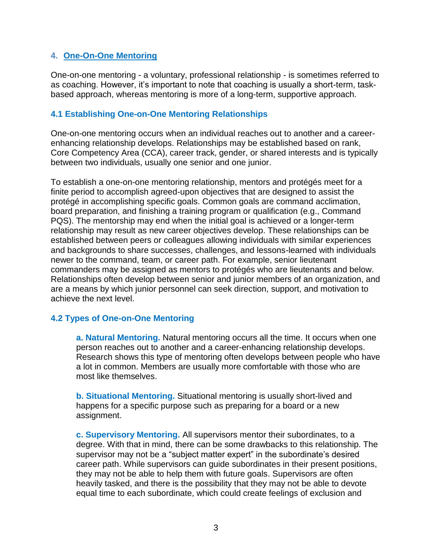## **4. One-On-One Mentoring**

One-on-one mentoring - a voluntary, professional relationship - is sometimes referred to as coaching. However, it's important to note that coaching is usually a short-term, taskbased approach, whereas mentoring is more of a long-term, supportive approach.

## **4.1 Establishing One-on-One Mentoring Relationships**

One-on-one mentoring occurs when an individual reaches out to another and a careerenhancing relationship develops. Relationships may be established based on rank, Core Competency Area (CCA), career track, gender, or shared interests and is typically between two individuals, usually one senior and one junior.

To establish a one-on-one mentoring relationship, mentors and protégés meet for a finite period to accomplish agreed-upon objectives that are designed to assist the protégé in accomplishing specific goals. Common goals are command acclimation, board preparation, and finishing a training program or qualification (e.g., Command PQS). The mentorship may end when the initial goal is achieved or a longer-term relationship may result as new career objectives develop. These relationships can be established between peers or colleagues allowing individuals with similar experiences and backgrounds to share successes, challenges, and lessons-learned with individuals newer to the command, team, or career path. For example, senior lieutenant commanders may be assigned as mentors to protégés who are lieutenants and below. Relationships often develop between senior and junior members of an organization, and are a means by which junior personnel can seek direction, support, and motivation to achieve the next level.

## **4.2 Types of One-on-One Mentoring**

**a. Natural Mentoring.** Natural mentoring occurs all the time. It occurs when one person reaches out to another and a career-enhancing relationship develops. Research shows this type of mentoring often develops between people who have a lot in common. Members are usually more comfortable with those who are most like themselves.

**b. Situational Mentoring.** Situational mentoring is usually short-lived and happens for a specific purpose such as preparing for a board or a new assignment.

**c. Supervisory Mentoring.** All supervisors mentor their subordinates, to a degree. With that in mind, there can be some drawbacks to this relationship. The supervisor may not be a "subject matter expert" in the subordinate's desired career path. While supervisors can guide subordinates in their present positions, they may not be able to help them with future goals. Supervisors are often heavily tasked, and there is the possibility that they may not be able to devote equal time to each subordinate, which could create feelings of exclusion and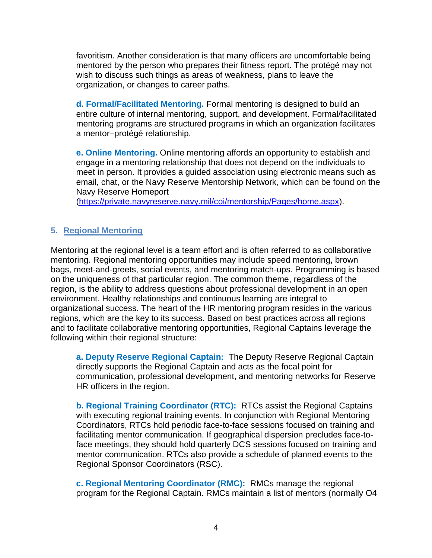favoritism. Another consideration is that many officers are uncomfortable being mentored by the person who prepares their fitness report. The protégé may not wish to discuss such things as areas of weakness, plans to leave the organization, or changes to career paths.

**d. Formal/Facilitated Mentoring.** Formal mentoring is designed to build an entire culture of internal mentoring, support, and development. Formal/facilitated mentoring programs are structured programs in which an organization facilitates a mentor–protégé relationship.

**e. Online Mentoring.** Online mentoring affords an opportunity to establish and engage in a mentoring relationship that does not depend on the individuals to meet in person. It provides a guided association using electronic means such as email, chat, or the Navy Reserve Mentorship Network, which can be found on the Navy Reserve Homeport

[\(https://private.navyreserve.navy.mil/coi/mentorship/Pages/home.aspx\)](https://private.navyreserve.navy.mil/coi/mentorship/Pages/home.aspx).

## **5. Regional Mentoring**

Mentoring at the regional level is a team effort and is often referred to as collaborative mentoring. Regional mentoring opportunities may include speed mentoring, brown bags, meet-and-greets, social events, and mentoring match-ups. Programming is based on the uniqueness of that particular region. The common theme, regardless of the region, is the ability to address questions about professional development in an open environment. Healthy relationships and continuous learning are integral to organizational success. The heart of the HR mentoring program resides in the various regions, which are the key to its success. Based on best practices across all regions and to facilitate collaborative mentoring opportunities, Regional Captains leverage the following within their regional structure:

**a. Deputy Reserve Regional Captain:** The Deputy Reserve Regional Captain directly supports the Regional Captain and acts as the focal point for communication, professional development, and mentoring networks for Reserve HR officers in the region.

**b. Regional Training Coordinator (RTC):** RTCs assist the Regional Captains with executing regional training events. In conjunction with Regional Mentoring Coordinators, RTCs hold periodic face-to-face sessions focused on training and facilitating mentor communication. If geographical dispersion precludes face-toface meetings, they should hold quarterly DCS sessions focused on training and mentor communication. RTCs also provide a schedule of planned events to the Regional Sponsor Coordinators (RSC).

**c. Regional Mentoring Coordinator (RMC):** RMCs manage the regional program for the Regional Captain. RMCs maintain a list of mentors (normally O4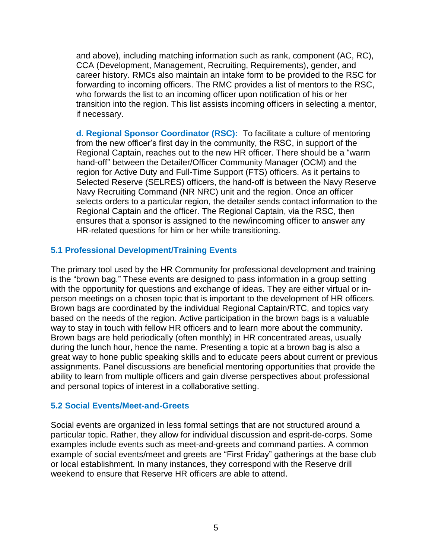and above), including matching information such as rank, component (AC, RC), CCA (Development, Management, Recruiting, Requirements), gender, and career history. RMCs also maintain an intake form to be provided to the RSC for forwarding to incoming officers. The RMC provides a list of mentors to the RSC, who forwards the list to an incoming officer upon notification of his or her transition into the region. This list assists incoming officers in selecting a mentor, if necessary.

**d. Regional Sponsor Coordinator (RSC):** To facilitate a culture of mentoring from the new officer's first day in the community, the RSC, in support of the Regional Captain, reaches out to the new HR officer. There should be a "warm hand-off" between the Detailer/Officer Community Manager (OCM) and the region for Active Duty and Full-Time Support (FTS) officers. As it pertains to Selected Reserve (SELRES) officers, the hand-off is between the Navy Reserve Navy Recruiting Command (NR NRC) unit and the region. Once an officer selects orders to a particular region, the detailer sends contact information to the Regional Captain and the officer. The Regional Captain, via the RSC, then ensures that a sponsor is assigned to the new/incoming officer to answer any HR-related questions for him or her while transitioning.

## **5.1 Professional Development/Training Events**

The primary tool used by the HR Community for professional development and training is the "brown bag." These events are designed to pass information in a group setting with the opportunity for questions and exchange of ideas. They are either virtual or inperson meetings on a chosen topic that is important to the development of HR officers. Brown bags are coordinated by the individual Regional Captain/RTC, and topics vary based on the needs of the region. Active participation in the brown bags is a valuable way to stay in touch with fellow HR officers and to learn more about the community. Brown bags are held periodically (often monthly) in HR concentrated areas, usually during the lunch hour, hence the name. Presenting a topic at a brown bag is also a great way to hone public speaking skills and to educate peers about current or previous assignments. Panel discussions are beneficial mentoring opportunities that provide the ability to learn from multiple officers and gain diverse perspectives about professional and personal topics of interest in a collaborative setting.

## **5.2 Social Events/Meet-and-Greets**

Social events are organized in less formal settings that are not structured around a particular topic. Rather, they allow for individual discussion and esprit-de-corps. Some examples include events such as meet-and-greets and command parties. A common example of social events/meet and greets are "First Friday" gatherings at the base club or local establishment. In many instances, they correspond with the Reserve drill weekend to ensure that Reserve HR officers are able to attend.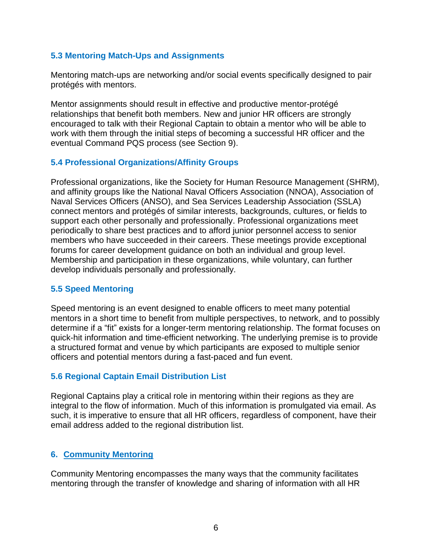## **5.3 Mentoring Match-Ups and Assignments**

Mentoring match-ups are networking and/or social events specifically designed to pair protégés with mentors.

Mentor assignments should result in effective and productive mentor-protégé relationships that benefit both members. New and junior HR officers are strongly encouraged to talk with their Regional Captain to obtain a mentor who will be able to work with them through the initial steps of becoming a successful HR officer and the eventual Command PQS process (see Section 9).

## **5.4 Professional Organizations/Affinity Groups**

Professional organizations, like the Society for Human Resource Management (SHRM), and affinity groups like the National Naval Officers Association (NNOA), Association of Naval Services Officers (ANSO), and Sea Services Leadership Association (SSLA) connect mentors and protégés of similar interests, backgrounds, cultures, or fields to support each other personally and professionally. Professional organizations meet periodically to share best practices and to afford junior personnel access to senior members who have succeeded in their careers. These meetings provide exceptional forums for career development guidance on both an individual and group level. Membership and participation in these organizations, while voluntary, can further develop individuals personally and professionally.

## **5.5 Speed Mentoring**

Speed mentoring is an event designed to enable officers to meet many potential mentors in a short time to benefit from multiple perspectives, to network, and to possibly determine if a "fit" exists for a longer-term mentoring relationship. The format focuses on quick-hit information and time-efficient networking. The underlying premise is to provide a structured format and venue by which participants are exposed to multiple senior officers and potential mentors during a fast-paced and fun event.

## **5.6 Regional Captain Email Distribution List**

Regional Captains play a critical role in mentoring within their regions as they are integral to the flow of information. Much of this information is promulgated via email. As such, it is imperative to ensure that all HR officers, regardless of component, have their email address added to the regional distribution list.

## **6. Community Mentoring**

Community Mentoring encompasses the many ways that the community facilitates mentoring through the transfer of knowledge and sharing of information with all HR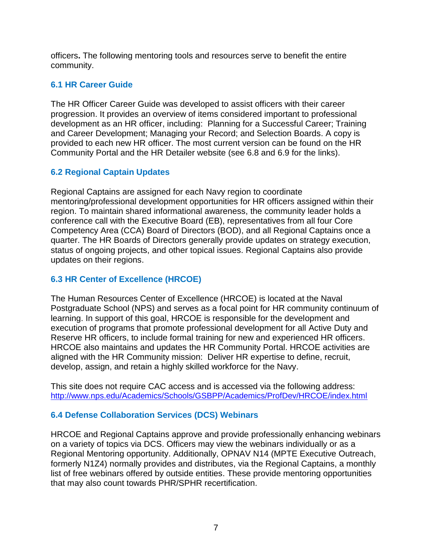officers**.** The following mentoring tools and resources serve to benefit the entire community.

## **6.1 HR Career Guide**

The HR Officer Career Guide was developed to assist officers with their career progression. It provides an overview of items considered important to professional development as an HR officer, including: Planning for a Successful Career; Training and Career Development; Managing your Record; and Selection Boards. A copy is provided to each new HR officer. The most current version can be found on the HR Community Portal and the HR Detailer website (see 6.8 and 6.9 for the links).

## **6.2 Regional Captain Updates**

Regional Captains are assigned for each Navy region to coordinate mentoring/professional development opportunities for HR officers assigned within their region. To maintain shared informational awareness, the community leader holds a conference call with the Executive Board (EB), representatives from all four Core Competency Area (CCA) Board of Directors (BOD), and all Regional Captains once a quarter. The HR Boards of Directors generally provide updates on strategy execution, status of ongoing projects, and other topical issues. Regional Captains also provide updates on their regions.

## **6.3 HR Center of Excellence (HRCOE)**

The Human Resources Center of Excellence (HRCOE) is located at the Naval Postgraduate School (NPS) and serves as a focal point for HR community continuum of learning. In support of this goal, HRCOE is responsible for the development and execution of programs that promote professional development for all Active Duty and Reserve HR officers, to include formal training for new and experienced HR officers. HRCOE also maintains and updates the HR Community Portal. HRCOE activities are aligned with the HR Community mission: Deliver HR expertise to define, recruit, develop, assign, and retain a highly skilled workforce for the Navy.

This site does not require CAC access and is accessed via the following address: <http://www.nps.edu/Academics/Schools/GSBPP/Academics/ProfDev/HRCOE/index.html>

## **6.4 Defense Collaboration Services (DCS) Webinars**

HRCOE and Regional Captains approve and provide professionally enhancing webinars on a variety of topics via DCS. Officers may view the webinars individually or as a Regional Mentoring opportunity. Additionally, OPNAV N14 (MPTE Executive Outreach, formerly N1Z4) normally provides and distributes, via the Regional Captains, a monthly list of free webinars offered by outside entities. These provide mentoring opportunities that may also count towards PHR/SPHR recertification.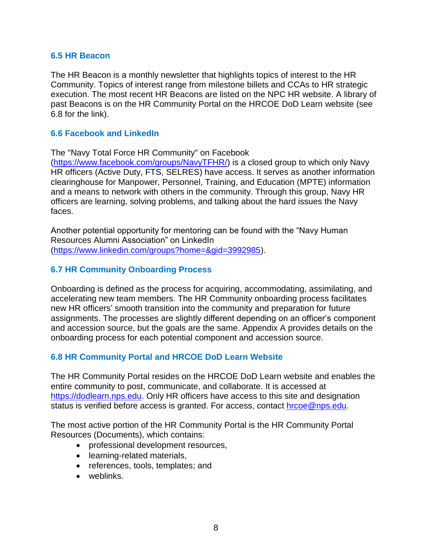#### **6.5 HR Beacon**

The HR Beacon is a monthly newsletter that highlights topics of interest to the HR Community. Topics of interest range from milestone billets and CCAs to HR strategic execution. The most recent HR Beacons are listed on the NPC HR website. A library of past Beacons is on the HR Community Portal on the HRCOE DoD Learn website (see 6.8 for the link).

#### **6.6 Facebook and LinkedIn**

The "Navy Total Force HR Community" on Facebook

[\(https://www.facebook.com/groups/NavyTFHR/\)](https://www.facebook.com/groups/NavyTFHR/) is a closed group to which only Navy HR officers (Active Duty, FTS, SELRES) have access. It serves as another information clearinghouse for Manpower, Personnel, Training, and Education (MPTE) information and a means to network with others in the community. Through this group, Navy HR officers are learning, solving problems, and talking about the hard issues the Navy faces.

Another potential opportunity for mentoring can be found with the "Navy Human Resources Alumni Association" on LinkedIn [\(https://www.linkedin.com/groups?home=&gid=3992985\)](https://www.linkedin.com/groups?home=&gid=3992985).

## **6.7 HR Community Onboarding Process**

Onboarding is defined as the process for acquiring, accommodating, assimilating, and accelerating new team members. The HR Community onboarding process facilitates new HR officers' smooth transition into the community and preparation for future assignments. The processes are slightly different depending on an officer's component and accession source, but the goals are the same. Appendix A provides details on the onboarding process for each potential component and accession source.

## **6.8 HR Community Portal and HRCOE DoD Learn Website**

The HR Community Portal resides on the HRCOE DoD Learn website and enables the entire community to post, communicate, and collaborate. It is accessed at [https://dodlearn.nps.edu.](https://dodlearn.nps.edu/) Only HR officers have access to this site and designation status is verified before access is granted. For access, contact [hrcoe@nps.edu.](mailto:hrcoe@nps.edu)

The most active portion of the HR Community Portal is the HR Community Portal Resources (Documents), which contains:

- professional development resources,
- learning-related materials,
- references, tools, templates; and
- weblinks.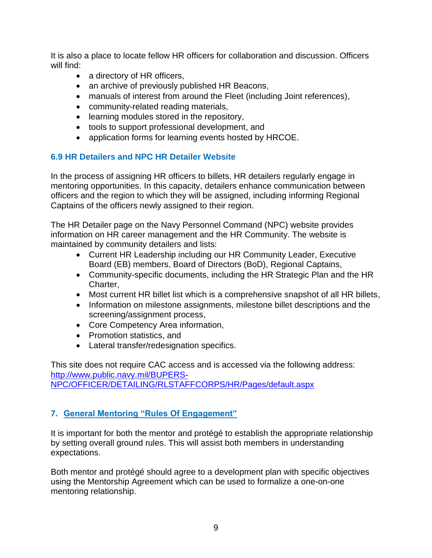It is also a place to locate fellow HR officers for collaboration and discussion. Officers will find:

- a directory of HR officers,
- an archive of previously published HR Beacons,
- manuals of interest from around the Fleet (including Joint references),
- community-related reading materials,
- learning modules stored in the repository,
- tools to support professional development, and
- application forms for learning events hosted by HRCOE.

# **6.9 HR Detailers and NPC HR Detailer Website**

In the process of assigning HR officers to billets, HR detailers regularly engage in mentoring opportunities. In this capacity, detailers enhance communication between officers and the region to which they will be assigned, including informing Regional Captains of the officers newly assigned to their region.

The HR Detailer page on the Navy Personnel Command (NPC) website provides information on HR career management and the HR Community. The website is maintained by community detailers and lists:

- Current HR Leadership including our HR Community Leader, Executive Board (EB) members, Board of Directors (BoD), Regional Captains,
- Community-specific documents, including the HR Strategic Plan and the HR Charter,
- Most current HR billet list which is a comprehensive snapshot of all HR billets,
- Information on milestone assignments, milestone billet descriptions and the screening/assignment process,
- Core Competency Area information,
- Promotion statistics, and
- Lateral transfer/redesignation specifics.

This site does not require CAC access and is accessed via the following address: [http://www.public.navy.mil/BUPERS-](http://www.public.navy.mil/BUPERS-NPC/OFFICER/DETAILING/RLSTAFFCORPS/HR/Pages/default.aspx)[NPC/OFFICER/DETAILING/RLSTAFFCORPS/HR/Pages/default.aspx](http://www.public.navy.mil/BUPERS-NPC/OFFICER/DETAILING/RLSTAFFCORPS/HR/Pages/default.aspx)

# **7. General Mentoring "Rules Of Engagement"**

It is important for both the mentor and protégé to establish the appropriate relationship by setting overall ground rules. This will assist both members in understanding expectations.

Both mentor and protégé should agree to a development plan with specific objectives using the Mentorship Agreement which can be used to formalize a one-on-one mentoring relationship.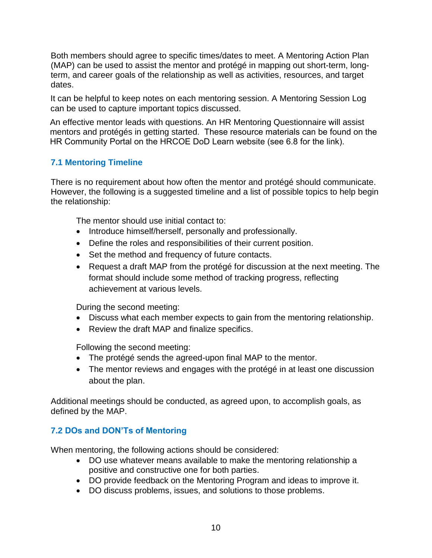Both members should agree to specific times/dates to meet. A Mentoring Action Plan (MAP) can be used to assist the mentor and protégé in mapping out short-term, longterm, and career goals of the relationship as well as activities, resources, and target dates.

It can be helpful to keep notes on each mentoring session. A Mentoring Session Log can be used to capture important topics discussed.

An effective mentor leads with questions. An HR Mentoring Questionnaire will assist mentors and protégés in getting started. These resource materials can be found on the HR Community Portal on the HRCOE DoD Learn website (see 6.8 for the link).

# **7.1 Mentoring Timeline**

There is no requirement about how often the mentor and protégé should communicate. However, the following is a suggested timeline and a list of possible topics to help begin the relationship:

The mentor should use initial contact to:

- Introduce himself/herself, personally and professionally.
- Define the roles and responsibilities of their current position.
- Set the method and frequency of future contacts.
- Request a draft MAP from the protégé for discussion at the next meeting. The format should include some method of tracking progress, reflecting achievement at various levels.

During the second meeting:

- Discuss what each member expects to gain from the mentoring relationship.
- Review the draft MAP and finalize specifics.

Following the second meeting:

- The protégé sends the agreed-upon final MAP to the mentor.
- The mentor reviews and engages with the protégé in at least one discussion about the plan.

Additional meetings should be conducted, as agreed upon, to accomplish goals, as defined by the MAP.

# **7.2 DOs and DON'Ts of Mentoring**

When mentoring, the following actions should be considered:

- DO use whatever means available to make the mentoring relationship a positive and constructive one for both parties.
- DO provide feedback on the Mentoring Program and ideas to improve it.
- DO discuss problems, issues, and solutions to those problems.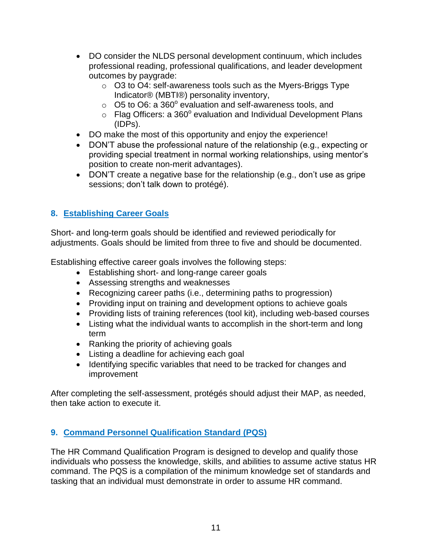- DO consider the NLDS personal development continuum, which includes professional reading, professional qualifications, and leader development outcomes by paygrade:
	- o O3 to O4: self-awareness tools such as the Myers-Briggs Type Indicator® (MBTI®) personality inventory,
	- $\circ$  O5 to O6: a 360 $^{\circ}$  evaluation and self-awareness tools, and
	- $\circ$  Flag Officers: a 360 $^{\circ}$  evaluation and Individual Development Plans (IDPs).
- DO make the most of this opportunity and enjoy the experience!
- DON'T abuse the professional nature of the relationship (e.g., expecting or providing special treatment in normal working relationships, using mentor's position to create non-merit advantages).
- DON'T create a negative base for the relationship (e.g., don't use as gripe sessions; don't talk down to protégé).

# **8. Establishing Career Goals**

Short- and long-term goals should be identified and reviewed periodically for adjustments. Goals should be limited from three to five and should be documented.

Establishing effective career goals involves the following steps:

- Establishing short- and long-range career goals
- Assessing strengths and weaknesses
- Recognizing career paths (i.e., determining paths to progression)
- Providing input on training and development options to achieve goals
- Providing lists of training references (tool kit), including web-based courses
- Listing what the individual wants to accomplish in the short-term and long term
- Ranking the priority of achieving goals
- Listing a deadline for achieving each goal
- Identifying specific variables that need to be tracked for changes and improvement

After completing the self-assessment, protégés should adjust their MAP, as needed, then take action to execute it.

# **9. Command Personnel Qualification Standard (PQS)**

The HR Command Qualification Program is designed to develop and qualify those individuals who possess the knowledge, skills, and abilities to assume active status HR command. The PQS is a compilation of the minimum knowledge set of standards and tasking that an individual must demonstrate in order to assume HR command.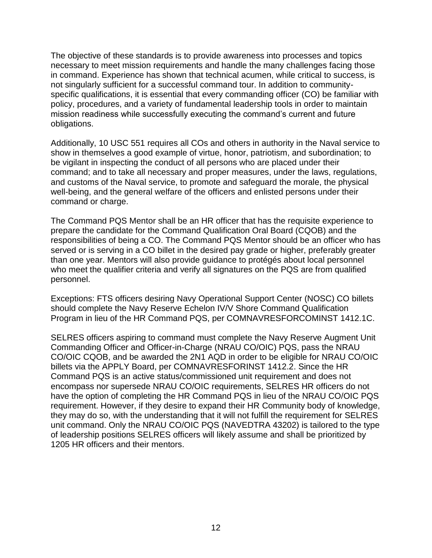The objective of these standards is to provide awareness into processes and topics necessary to meet mission requirements and handle the many challenges facing those in command. Experience has shown that technical acumen, while critical to success, is not singularly sufficient for a successful command tour. In addition to communityspecific qualifications, it is essential that every commanding officer (CO) be familiar with policy, procedures, and a variety of fundamental leadership tools in order to maintain mission readiness while successfully executing the command's current and future obligations.

Additionally, 10 USC 551 requires all COs and others in authority in the Naval service to show in themselves a good example of virtue, honor, patriotism, and subordination; to be vigilant in inspecting the conduct of all persons who are placed under their command; and to take all necessary and proper measures, under the laws, regulations, and customs of the Naval service, to promote and safeguard the morale, the physical well-being, and the general welfare of the officers and enlisted persons under their command or charge.

The Command PQS Mentor shall be an HR officer that has the requisite experience to prepare the candidate for the Command Qualification Oral Board (CQOB) and the responsibilities of being a CO. The Command PQS Mentor should be an officer who has served or is serving in a CO billet in the desired pay grade or higher, preferably greater than one year. Mentors will also provide guidance to protégés about local personnel who meet the qualifier criteria and verify all signatures on the PQS are from qualified personnel.

Exceptions: FTS officers desiring Navy Operational Support Center (NOSC) CO billets should complete the Navy Reserve Echelon IV/V Shore Command Qualification Program in lieu of the HR Command PQS, per COMNAVRESFORCOMINST 1412.1C.

SELRES officers aspiring to command must complete the Navy Reserve Augment Unit Commanding Officer and Officer-in-Charge (NRAU CO/OIC) PQS, pass the NRAU CO/OIC CQOB, and be awarded the 2N1 AQD in order to be eligible for NRAU CO/OIC billets via the APPLY Board, per COMNAVRESFORINST 1412.2. Since the HR Command PQS is an active status/commissioned unit requirement and does not encompass nor supersede NRAU CO/OIC requirements, SELRES HR officers do not have the option of completing the HR Command PQS in lieu of the NRAU CO/OIC PQS requirement. However, if they desire to expand their HR Community body of knowledge, they may do so, with the understanding that it will not fulfill the requirement for SELRES unit command. Only the NRAU CO/OIC PQS (NAVEDTRA 43202) is tailored to the type of leadership positions SELRES officers will likely assume and shall be prioritized by 1205 HR officers and their mentors.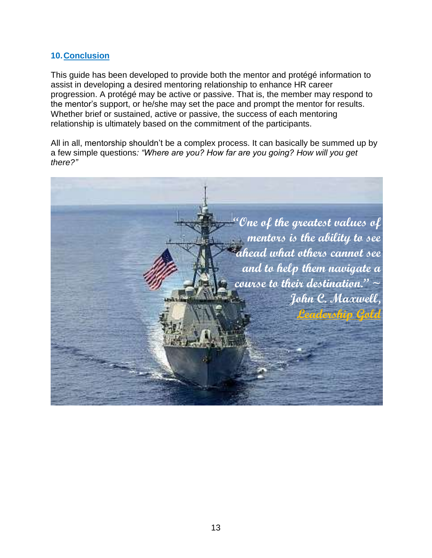## **10.Conclusion**

This guide has been developed to provide both the mentor and protégé information to assist in developing a desired mentoring relationship to enhance HR career progression. A protégé may be active or passive. That is, the member may respond to the mentor's support, or he/she may set the pace and prompt the mentor for results. Whether brief or sustained, active or passive, the success of each mentoring relationship is ultimately based on the commitment of the participants.

All in all, mentorship shouldn't be a complex process. It can basically be summed up by a few simple questions*: "Where are you? How far are you going? How will you get there?"*

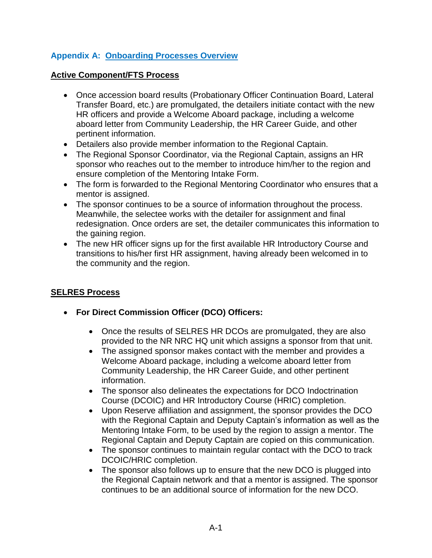# **Appendix A: Onboarding Processes Overview**

## **Active Component/FTS Process**

- Once accession board results (Probationary Officer Continuation Board, Lateral Transfer Board, etc.) are promulgated, the detailers initiate contact with the new HR officers and provide a Welcome Aboard package, including a welcome aboard letter from Community Leadership, the HR Career Guide, and other pertinent information.
- Detailers also provide member information to the Regional Captain.
- The Regional Sponsor Coordinator, via the Regional Captain, assigns an HR sponsor who reaches out to the member to introduce him/her to the region and ensure completion of the Mentoring Intake Form.
- The form is forwarded to the Regional Mentoring Coordinator who ensures that a mentor is assigned.
- The sponsor continues to be a source of information throughout the process. Meanwhile, the selectee works with the detailer for assignment and final redesignation. Once orders are set, the detailer communicates this information to the gaining region.
- The new HR officer signs up for the first available HR Introductory Course and transitions to his/her first HR assignment, having already been welcomed in to the community and the region.

# **SELRES Process**

- **For Direct Commission Officer (DCO) Officers:**
	- Once the results of SELRES HR DCOs are promulgated, they are also provided to the NR NRC HQ unit which assigns a sponsor from that unit.
	- The assigned sponsor makes contact with the member and provides a Welcome Aboard package, including a welcome aboard letter from Community Leadership, the HR Career Guide, and other pertinent information.
	- The sponsor also delineates the expectations for DCO Indoctrination Course (DCOIC) and HR Introductory Course (HRIC) completion.
	- Upon Reserve affiliation and assignment, the sponsor provides the DCO with the Regional Captain and Deputy Captain's information as well as the Mentoring Intake Form, to be used by the region to assign a mentor. The Regional Captain and Deputy Captain are copied on this communication.
	- The sponsor continues to maintain regular contact with the DCO to track DCOIC/HRIC completion.
	- The sponsor also follows up to ensure that the new DCO is plugged into the Regional Captain network and that a mentor is assigned. The sponsor continues to be an additional source of information for the new DCO.